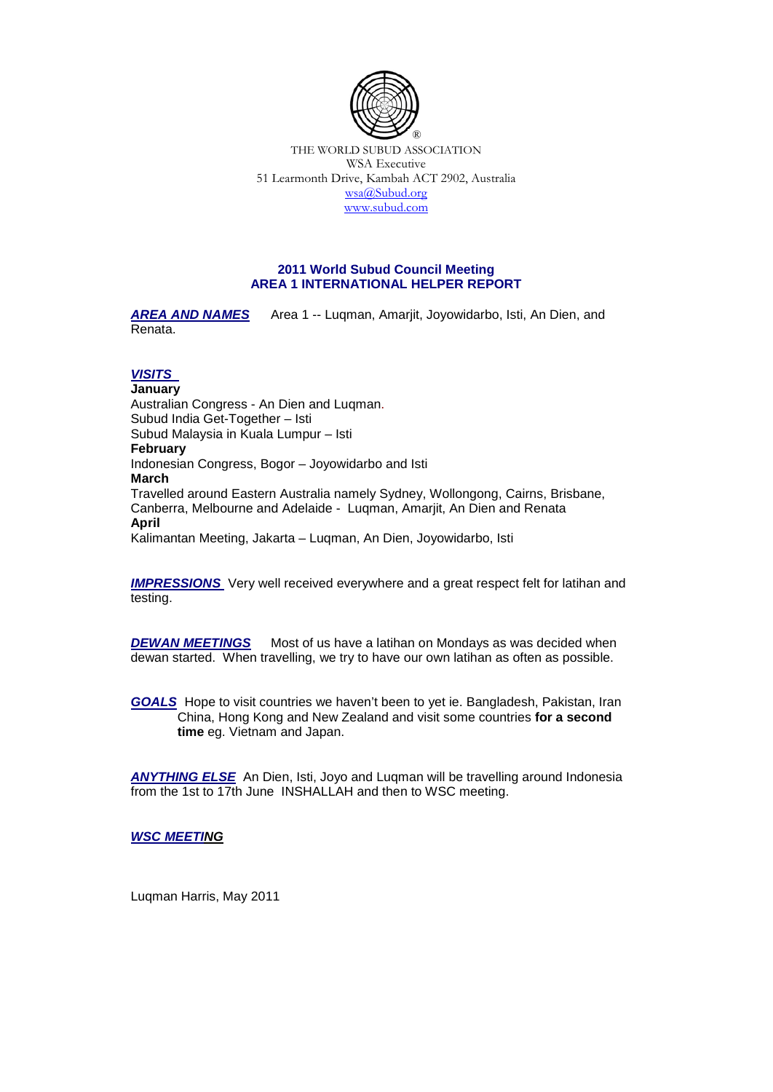

THE WORLD SUBUD ASSOCIATION WSA Executive 51 Learmonth Drive, Kambah ACT 2902, Australia [wsa@Subud.org](mailto:wsa@Subud.org) [www.subud.com](http://www.subud.com/)

## **2011 World Subud Council Meeting AREA 1 INTERNATIONAL HELPER REPORT**

AREA AND NAMES Area 1 -- Luqman, Amarjit, Joyowidarbo, Isti, An Dien, and Renata.

## *VISITS*

**January**  Australian Congress - An Dien and Luqman. Subud India Get-Together – Isti Subud Malaysia in Kuala Lumpur – Isti **February** Indonesian Congress, Bogor – Joyowidarbo and Isti **March** Travelled around Eastern Australia namely Sydney, Wollongong, Cairns, Brisbane, Canberra, Melbourne and Adelaide - Luqman, Amarjit, An Dien and Renata **April**  Kalimantan Meeting, Jakarta – Luqman, An Dien, Joyowidarbo, Isti

*IMPRESSIONS* Very well received everywhere and a great respect felt for latihan and testing.

*DEWAN MEETINGS* Most of us have a latihan on Mondays as was decided when dewan started. When travelling, we try to have our own latihan as often as possible.

*GOALS* Hope to visit countries we haven't been to yet ie. Bangladesh, Pakistan, Iran China, Hong Kong and New Zealand and visit some countries **for a second time** eg. Vietnam and Japan.

*ANYTHING ELSE* An Dien, Isti, Joyo and Luqman will be travelling around Indonesia from the 1st to 17th June INSHALLAH and then to WSC meeting.

*WSC MEETING*

Luqman Harris, May 2011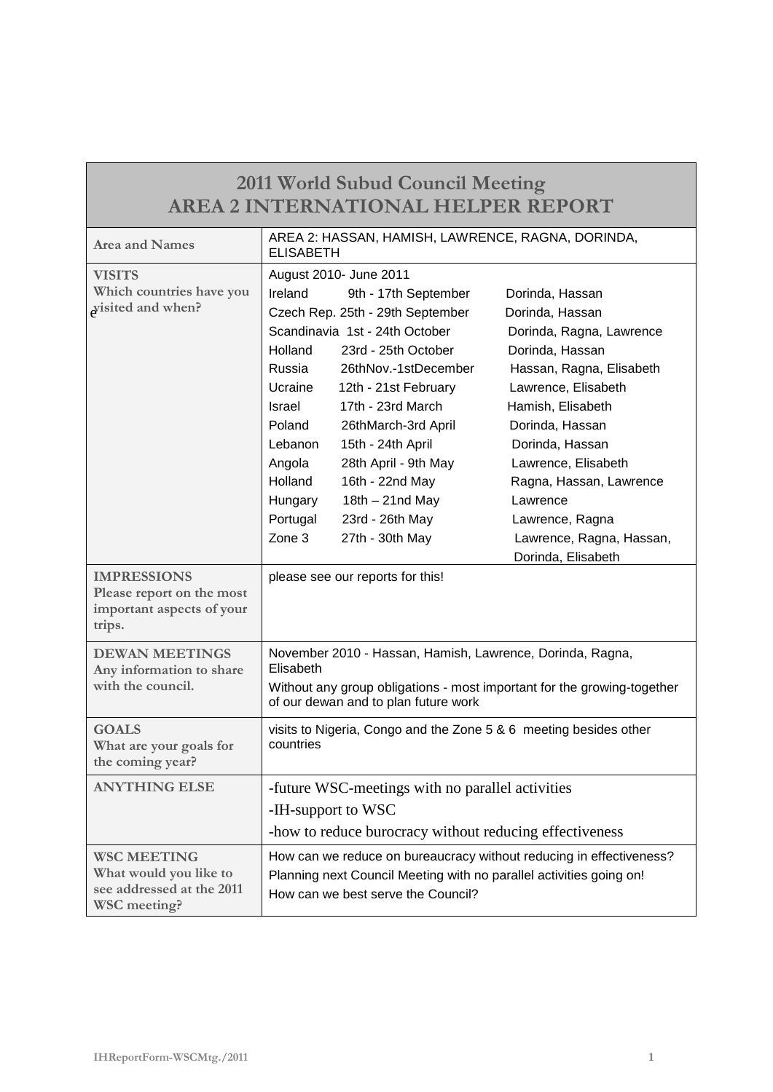| <b>2011 World Subud Council Meeting</b>                                                   |                                                                                                                                                                                           |                                                                                                                                                                                                                                                                                                                                                                    |                                                                                                                                                                                                                                                                                                                                    |  |
|-------------------------------------------------------------------------------------------|-------------------------------------------------------------------------------------------------------------------------------------------------------------------------------------------|--------------------------------------------------------------------------------------------------------------------------------------------------------------------------------------------------------------------------------------------------------------------------------------------------------------------------------------------------------------------|------------------------------------------------------------------------------------------------------------------------------------------------------------------------------------------------------------------------------------------------------------------------------------------------------------------------------------|--|
| <b>AREA 2 INTERNATIONAL HELPER REPORT</b>                                                 |                                                                                                                                                                                           |                                                                                                                                                                                                                                                                                                                                                                    |                                                                                                                                                                                                                                                                                                                                    |  |
| <b>Area and Names</b>                                                                     | AREA 2: HASSAN, HAMISH, LAWRENCE, RAGNA, DORINDA,<br><b>ELISABETH</b>                                                                                                                     |                                                                                                                                                                                                                                                                                                                                                                    |                                                                                                                                                                                                                                                                                                                                    |  |
| <b>VISITS</b><br>Which countries have you<br>wisited and when?                            | Ireland<br>Holland<br>Russia<br>Ucraine<br><b>Israel</b><br>Poland<br>Lebanon<br>Angola<br>Holland<br>Hungary<br>Portugal<br>Zone 3                                                       | August 2010- June 2011<br>9th - 17th September<br>Czech Rep. 25th - 29th September<br>Scandinavia 1st - 24th October<br>23rd - 25th October<br>26thNov.-1stDecember<br>12th - 21st February<br>17th - 23rd March<br>26thMarch-3rd April<br>15th - 24th April<br>28th April - 9th May<br>16th - 22nd May<br>$18th - 21nd$ May<br>23rd - 26th May<br>27th - 30th May | Dorinda, Hassan<br>Dorinda, Hassan<br>Dorinda, Ragna, Lawrence<br>Dorinda, Hassan<br>Hassan, Ragna, Elisabeth<br>Lawrence, Elisabeth<br>Hamish, Elisabeth<br>Dorinda, Hassan<br>Dorinda, Hassan<br>Lawrence, Elisabeth<br>Ragna, Hassan, Lawrence<br>Lawrence<br>Lawrence, Ragna<br>Lawrence, Ragna, Hassan,<br>Dorinda, Elisabeth |  |
| <b>IMPRESSIONS</b><br>Please report on the most<br>important aspects of your<br>trips.    |                                                                                                                                                                                           | please see our reports for this!                                                                                                                                                                                                                                                                                                                                   |                                                                                                                                                                                                                                                                                                                                    |  |
| <b>DEWAN MEETINGS</b><br>Any information to share<br>with the council.                    | November 2010 - Hassan, Hamish, Lawrence, Dorinda, Ragna,<br>Elisabeth<br>Without any group obligations - most important for the growing-together<br>of our dewan and to plan future work |                                                                                                                                                                                                                                                                                                                                                                    |                                                                                                                                                                                                                                                                                                                                    |  |
| <b>GOALS</b><br>What are your goals for<br>the coming year?                               | visits to Nigeria, Congo and the Zone 5 & 6 meeting besides other<br>countries                                                                                                            |                                                                                                                                                                                                                                                                                                                                                                    |                                                                                                                                                                                                                                                                                                                                    |  |
| <b>ANYTHING ELSE</b>                                                                      | -future WSC-meetings with no parallel activities<br>-IH-support to WSC<br>-how to reduce burocracy without reducing effectiveness                                                         |                                                                                                                                                                                                                                                                                                                                                                    |                                                                                                                                                                                                                                                                                                                                    |  |
| <b>WSC MEETING</b><br>What would you like to<br>see addressed at the 2011<br>WSC meeting? | How can we reduce on bureaucracy without reducing in effectiveness?<br>Planning next Council Meeting with no parallel activities going on!<br>How can we best serve the Council?          |                                                                                                                                                                                                                                                                                                                                                                    |                                                                                                                                                                                                                                                                                                                                    |  |

Г

ī